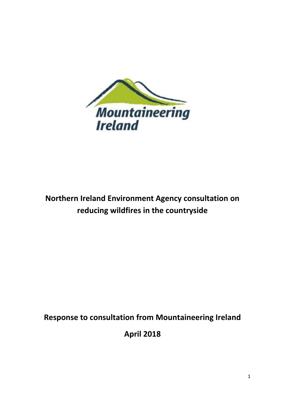

# **Northern Ireland Environment Agency consultation on reducing wildfires in the countryside**

## **Response to consultation from Mountaineering Ireland**

**April 2018**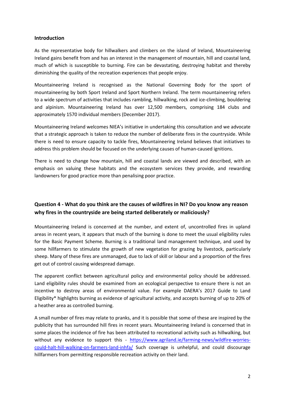#### **Introduction**

As the representative body for hillwalkers and climbers on the island of Ireland, Mountaineering Ireland gains benefit from and has an interest in the management of mountain, hill and coastal land, much of which is susceptible to burning. Fire can be devastating, destroying habitat and thereby diminishing the quality of the recreation experiences that people enjoy.

Mountaineering Ireland is recognised as the National Governing Body for the sport of mountaineering by both Sport Ireland and Sport Northern Ireland. The term mountaineering refers to a wide spectrum of activities that includes rambling, hillwalking, rock and ice-climbing, bouldering and alpinism. Mountaineering Ireland has over 12,500 members, comprising 184 clubs and approximately 1570 individual members (December 2017).

Mountaineering Ireland welcomes NIEA's initiative in undertaking this consultation and we advocate that a strategic approach is taken to reduce the number of deliberate fires in the countryside. While there is need to ensure capacity to tackle fires, Mountaineering Ireland believes that initiatives to address this problem should be focused on the underlying causes of human-caused ignitions.

There is need to change how mountain, hill and coastal lands are viewed and described, with an emphasis on valuing these habitats and the ecosystem services they provide, and rewarding landowners for good practice more than penalising poor practice.

#### **Question 4 - What do you think are the causes of wildfires in NI? Do you know any reason why fires in the countryside are being started deliberately or maliciously?**

Mountaineering Ireland is concerned at the number, and extent of, uncontrolled fires in upland areas in recent years, it appears that much of the burning is done to meet the usual eligibility rules for the Basic Payment Scheme. Burning is a traditional land management technique, and used by some hillfarmers to stimulate the growth of new vegetation for grazing by livestock, particularly sheep. Many of these fires are unmanaged, due to lack of skill or labour and a proportion of the fires get out of control causing widespread damage.

The apparent conflict between agricultural policy and environmental policy should be addressed. Land eligibility rules should be examined from an ecological perspective to ensure there is not an incentive to destroy areas of environmental value. For example DAERA's 2017 Guide to Land Eligibility\* highlights burning as evidence of agricultural activity, and accepts burning of up to 20% of a heather area as controlled burning.

A small number of fires may relate to pranks, and it is possible that some of these are inspired by the publicity that has surrounded hill fires in recent years. Mountaineering Ireland is concerned that in some places the incidence of fire has been attributed to recreational activity such as hillwalking, but without any evidence to support this - [https://www.agriland.ie/farming-news/wildfire-worries](https://www.agriland.ie/farming-news/wildfire-worries-could-halt-hill-walking-on-farmers-land-inhfa/)[could-halt-hill-walking-on-farmers-land-inhfa/](https://www.agriland.ie/farming-news/wildfire-worries-could-halt-hill-walking-on-farmers-land-inhfa/) Such coverage is unhelpful, and could discourage hillfarmers from permitting responsible recreation activity on their land.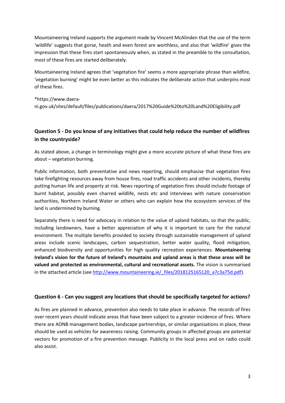Mountaineering Ireland supports the argument made by Vincent McAlinden that the use of the term 'wildlife' suggests that gorse, heath and even forest are worthless, and also that 'wildfire' gives the impression that these fires start spontaneously when, as stated in the preamble to the consultation, most of these fires are started deliberately.

Mountaineering Ireland agrees that 'vegetation fire' seems a more appropriate phrase than wildfire, 'vegetation burning' might be even better as this indicates the deliberate action that underpins most of these fires.

#### \*https://www.daera-

ni.gov.uk/sites/default/files/publications/daera/2017%20Guide%20to%20Land%20Eligibility.pdf

#### **Question 5 - Do you know of any initiatives that could help reduce the number of wildfires in the countryside?**

As stated above, a change in terminology might give a more accurate picture of what these fires are about – vegetation burning.

Public information, both preventative and news reporting, should emphasise that vegetation fires take firefighting resources away from house fires, road traffic accidents and other incidents, thereby putting human life and property at risk. News reporting of vegetation fires should include footage of burnt habitat, possibly even charred wildlife, nests etc and interviews with nature conservation authorities, Northern Ireland Water or others who can explain how the ecosystem services of the land is undermined by burning.

Separately there is need for advocacy in relation to the value of upland habitats, so that the public, including landowners, have a better appreciation of why it is important to care for the natural environment. The multiple benefits provided to society through sustainable management of upland areas include scenic landscapes, carbon sequestration, better water quality, flood mitigation, enhanced biodiversity and opportunities for high quality recreation experiences. **Mountaineering Ireland's vision for the future of Ireland's mountains and upland areas is that these areas will be valued and protected as environmental, cultural and recreational assets.** The vision is summarised in the attached article (see [http://www.mountaineering.ie/\\_files/2018125165120\\_a7c3a75d.pdf\)](http://www.mountaineering.ie/_files/2018125165120_a7c3a75d.pdf).

#### **Question 6 - Can you suggest any locations that should be specifically targeted for actions?**

As fires are planned in advance, prevention also needs to take place in advance. The records of fires over recent years should indicate areas that have been subject to a greater incidence of fires. Where there are AONB management bodies, landscape partnerships, or similar organisations in place, these should be used as vehicles for awareness raising. Community groups in affected groups are potential vectors for promotion of a fire prevention message. Publicity in the local press and on radio could also assist.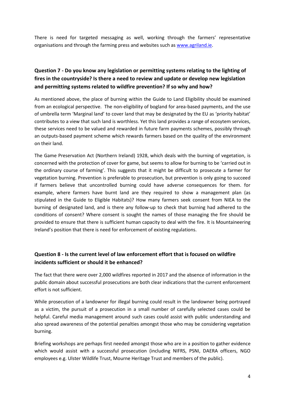There is need for targeted messaging as well, working through the farmers' representative organisations and through the farming press and websites such as [www.agriland.ie.](http://www.agriland.ie/)

## **Question 7 - Do you know any legislation or permitting systems relating to the lighting of fires in the countryside? Is there a need to review and update or develop new legislation and permitting systems related to wildfire prevention? If so why and how?**

As mentioned above, the place of burning within the Guide to Land Eligibility should be examined from an ecological perspective. The non-eligibility of bogland for area-based payments, and the use of umbrella term 'Marginal land' to cover land that may be designated by the EU as 'priority habitat' contributes to a view that such land is worthless. Yet this land provides a range of ecosytem services, these services need to be valued and rewarded in future farm payments schemes, possibly through an outputs-based payment scheme which rewards farmers based on the quality of the environment on their land.

The Game Preservation Act (Northern Ireland) 1928, which deals with the burning of vegetation, is concerned with the protection of cover for game, but seems to allow for burning to be 'carried out in the ordinary course of farming'. This suggests that it might be difficult to prosecute a farmer for vegetation burning. Prevention is preferable to prosecution, but prevention is only going to succeed if farmers believe that uncontrolled burning could have adverse consequences for them. for example, where farmers have burnt land are they required to show a management plan (as stipulated in the Guide to Eligible Habitats)? How many farmers seek consent from NIEA to the burning of designated land, and is there any follow-up to check that burning had adhered to the conditions of consent? Where consent is sought the names of those managing the fire should be provided to ensure that there is sufficient human capacity to deal with the fire. It is Mountaineering Ireland's position that there is need for enforcement of existing regulations.

#### **Question 8 - Is the current level of law enforcement effort that is focused on wildfire incidents sufficient or should it be enhanced?**

The fact that there were over 2,000 wildfires reported in 2017 and the absence of information in the public domain about successful prosecutions are both clear indications that the current enforcement effort is not sufficient.

While prosecution of a landowner for illegal burning could result in the landowner being portrayed as a victim, the pursuit of a prosecution in a small number of carefully selected cases could be helpful. Careful media management around such cases could assist with public understanding and also spread awareness of the potential penalties amongst those who may be considering vegetation burning.

Briefing workshops are perhaps first needed amongst those who are in a position to gather evidence which would assist with a successful prosecution (including NIFRS, PSNI, DAERA officers, NGO employees e.g. Ulster Wildlife Trust, Mourne Heritage Trust and members of the public).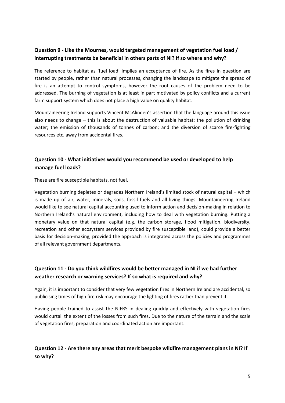## **Question 9 - Like the Mournes, would targeted management of vegetation fuel load / interrupting treatments be beneficial in others parts of NI? If so where and why?**

The reference to habitat as 'fuel load' implies an acceptance of fire. As the fires in question are started by people, rather than natural processes, changing the landscape to mitigate the spread of fire is an attempt to control symptoms, however the root causes of the problem need to be addressed. The burning of vegetation is at least in part motivated by policy conflicts and a current farm support system which does not place a high value on quality habitat.

Mountaineering Ireland supports Vincent McAlinden's assertion that the language around this issue also needs to change – this is about the destruction of valuable habitat; the pollution of drinking water; the emission of thousands of tonnes of carbon; and the diversion of scarce fire-fighting resources etc. away from accidental fires.

#### **Question 10 - What initiatives would you recommend be used or developed to help manage fuel loads?**

These are fire susceptible habitats, not fuel.

Vegetation burning depletes or degrades Northern Ireland's limited stock of natural capital – which is made up of air, water, minerals, soils, fossil fuels and all living things. Mountaineering Ireland would like to see natural capital accounting used to inform action and decision-making in relation to Northern Ireland's natural environment, including how to deal with vegetation burning. Putting a monetary value on that natural capital (e.g. the carbon storage, flood mitigation, biodiversity, recreation and other ecosystem services provided by fire susceptible land), could provide a better basis for decision-making, provided the approach is integrated across the policies and programmes of all relevant government departments.

#### **Question 11 - Do you think wildfires would be better managed in NI if we had further weather research or warning services? If so what is required and why?**

Again, it is important to consider that very few vegetation fires in Northern Ireland are accidental, so publicising times of high fire risk may encourage the lighting of fires rather than prevent it.

Having people trained to assist the NIFRS in dealing quickly and effectively with vegetation fires would curtail the extent of the losses from such fires. Due to the nature of the terrain and the scale of vegetation fires, preparation and coordinated action are important.

#### **Question 12 - Are there any areas that merit bespoke wildfire management plans in NI? If so why?**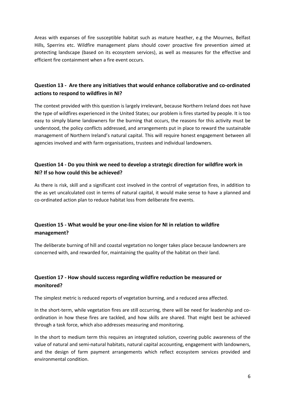Areas with expanses of fire susceptible habitat such as mature heather, e.g the Mournes, Belfast Hills, Sperrins etc. Wildfire management plans should cover proactive fire prevention aimed at protecting landscape (based on its ecosystem services), as well as measures for the effective and efficient fire containment when a fire event occurs.

#### **Question 13 - Are there any initiatives that would enhance collaborative and co-ordinated actions to respond to wildfires in NI?**

The context provided with this question is largely irrelevant, because Northern Ireland does not have the type of wildfires experienced in the United States; our problem is fires started by people. It is too easy to simply blame landowners for the burning that occurs, the reasons for this activity must be understood, the policy conflicts addressed, and arrangements put in place to reward the sustainable management of Northern Ireland's natural capital. This will require honest engagement between all agencies involved and with farm organisations, trustees and individual landowners.

#### **Question 14 - Do you think we need to develop a strategic direction for wildfire work in NI? If so how could this be achieved?**

As there is risk, skill and a significant cost involved in the control of vegetation fires, in addition to the as yet uncalculated cost in terms of natural capital, it would make sense to have a planned and co-ordinated action plan to reduce habitat loss from deliberate fire events.

## **Question 15 - What would be your one-line vision for NI in relation to wildfire management?**

The deliberate burning of hill and coastal vegetation no longer takes place because landowners are concerned with, and rewarded for, maintaining the quality of the habitat on their land.

## **Question 17 - How should success regarding wildfire reduction be measured or monitored?**

The simplest metric is reduced reports of vegetation burning, and a reduced area affected.

In the short-term, while vegetation fires are still occurring, there will be need for leadership and coordination in how these fires are tackled, and how skills are shared. That might best be achieved through a task force, which also addresses measuring and monitoring.

In the short to medium term this requires an integrated solution, covering public awareness of the value of natural and semi-natural habitats, natural capital accounting, engagement with landowners, and the design of farm payment arrangements which reflect ecosystem services provided and environmental condition.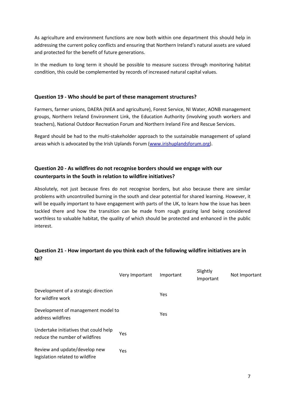As agriculture and environment functions are now both within one department this should help in addressing the current policy conflicts and ensuring that Northern Ireland's natural assets are valued and protected for the benefit of future generations.

In the medium to long term it should be possible to measure success through monitoring habitat condition, this could be complemented by records of increased natural capital values.

#### **Question 19 - Who should be part of these management structures?**

Farmers, farmer unions, DAERA (NIEA and agriculture), Forest Service, NI Water, AONB management groups, Northern Ireland Environment Link, the Education Authority (involving youth workers and teachers), National Outdoor Recreation Forum and Northern Ireland Fire and Rescue Services.

Regard should be had to the multi-stakeholder approach to the sustainable management of upland areas which is advocated by the Irish Uplands Forum [\(www.irishuplandsforum.org\)](http://www.irishuplandsforum.org/).

## **Question 20 - As wildfires do not recognise borders should we engage with our counterparts in the South in relation to wildfire initiatives?**

Absolutely, not just because fires do not recognise borders, but also because there are similar problems with uncontrolled burning in the south and clear potential for shared learning. However, it will be equally important to have engagement with parts of the UK, to learn how the issue has been tackled there and how the transition can be made from rough grazing land being considered worthless to valuable habitat, the quality of which should be protected and enhanced in the public interest.

#### **Question 21 - How important do you think each of the following wildfire initiatives are in NI?**

|                                                                         | Very Important | Important | Slightly<br>Important | Not Important |
|-------------------------------------------------------------------------|----------------|-----------|-----------------------|---------------|
| Development of a strategic direction<br>for wildfire work               |                | Yes       |                       |               |
| Development of management model to<br>address wildfires                 |                | Yes       |                       |               |
| Undertake initiatives that could help<br>reduce the number of wildfires | <b>Yes</b>     |           |                       |               |
| Review and update/develop new<br>legislation related to wildfire        | <b>Yes</b>     |           |                       |               |